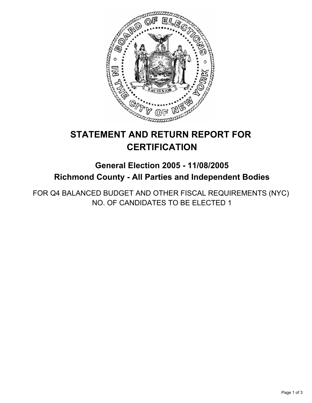

# **STATEMENT AND RETURN REPORT FOR CERTIFICATION**

## **General Election 2005 - 11/08/2005 Richmond County - All Parties and Independent Bodies**

FOR Q4 BALANCED BUDGET AND OTHER FISCAL REQUIREMENTS (NYC) NO. OF CANDIDATES TO BE ELECTED 1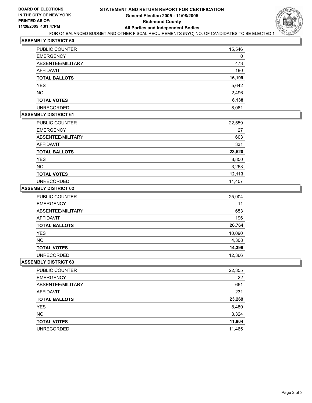

### **ASSEMBLY DISTRICT 60**

| PUBLIC COUNTER       | 15,546 |
|----------------------|--------|
| <b>EMERGENCY</b>     | 0      |
| ABSENTEE/MILITARY    | 473    |
| <b>AFFIDAVIT</b>     | 180    |
| <b>TOTAL BALLOTS</b> | 16,199 |
| <b>YES</b>           | 5,642  |
| <b>NO</b>            | 2,496  |
| <b>TOTAL VOTES</b>   | 8,138  |
| <b>UNRECORDED</b>    | 8,061  |

## **ASSEMBLY DISTRICT 61**

| PUBLIC COUNTER       | 22,559 |
|----------------------|--------|
| <b>EMERGENCY</b>     | 27     |
| ABSENTEE/MILITARY    | 603    |
| AFFIDAVIT            | 331    |
| <b>TOTAL BALLOTS</b> | 23,520 |
| <b>YES</b>           | 8,850  |
| <b>NO</b>            | 3,263  |
| <b>TOTAL VOTES</b>   | 12,113 |
| <b>UNRECORDED</b>    | 11,407 |

#### **ASSEMBLY DISTRICT 62**

| <b>PUBLIC COUNTER</b> | 25,904 |
|-----------------------|--------|
| <b>EMERGENCY</b>      | 11     |
| ABSENTEE/MILITARY     | 653    |
| AFFIDAVIT             | 196    |
| <b>TOTAL BALLOTS</b>  | 26,764 |
| <b>YES</b>            | 10,090 |
| <b>NO</b>             | 4,308  |
| <b>TOTAL VOTES</b>    | 14,398 |
| <b>UNRECORDED</b>     | 12,366 |

#### **ASSEMBLY DISTRICT 63**

| 22,355 |
|--------|
| 22     |
| 661    |
| 231    |
| 23,269 |
| 8,480  |
| 3,324  |
| 11,804 |
| 11,465 |
|        |